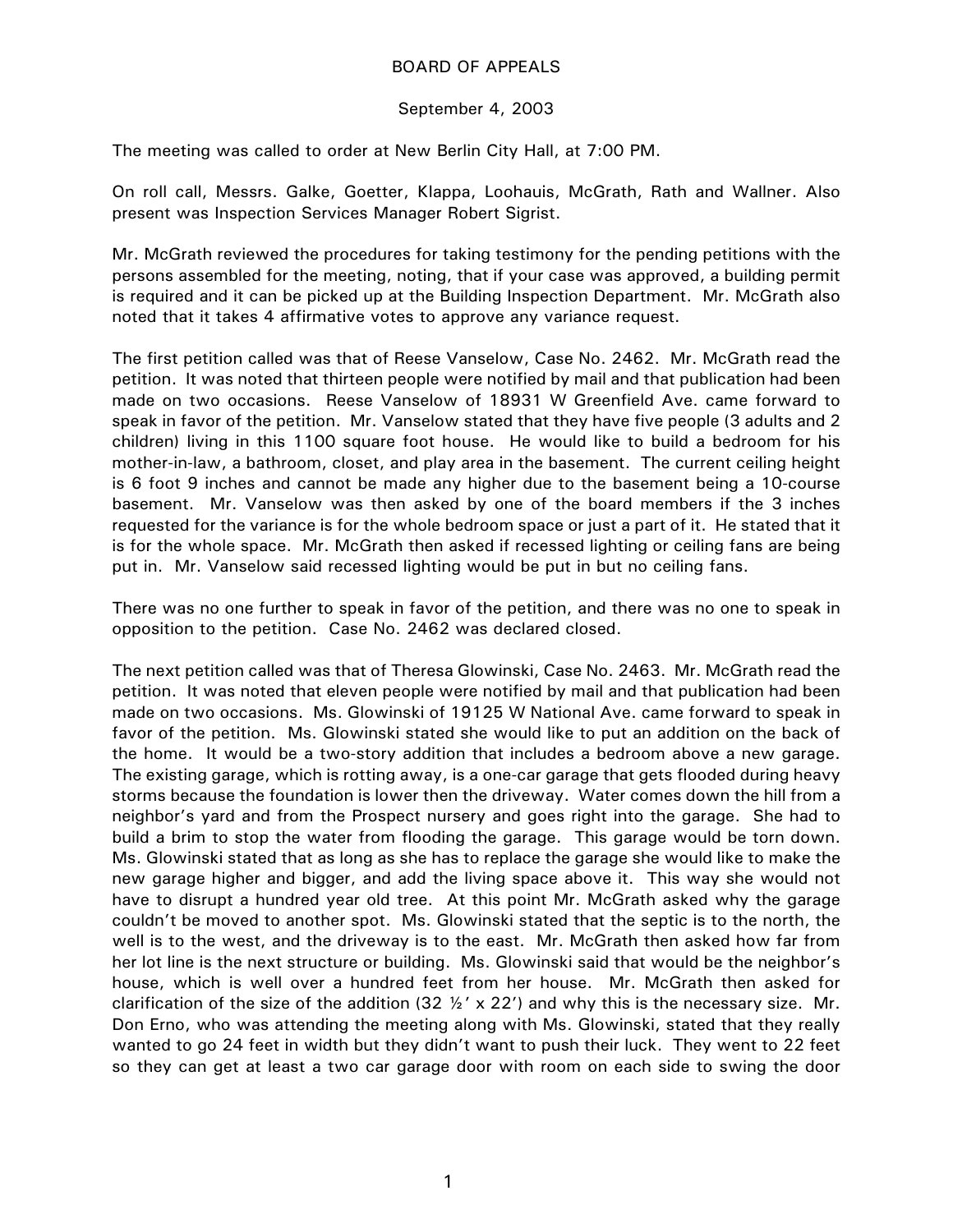## BOARD OF APPEALS

## September 4, 2003

The meeting was called to order at New Berlin City Hall, at 7:00 PM.

On roll call, Messrs. Galke, Goetter, Klappa, Loohauis, McGrath, Rath and Wallner. Also present was Inspection Services Manager Robert Sigrist.

Mr. McGrath reviewed the procedures for taking testimony for the pending petitions with the persons assembled for the meeting, noting, that if your case was approved, a building permit is required and it can be picked up at the Building Inspection Department. Mr. McGrath also noted that it takes 4 affirmative votes to approve any variance request.

The first petition called was that of Reese Vanselow, Case No. 2462. Mr. McGrath read the petition. It was noted that thirteen people were notified by mail and that publication had been made on two occasions. Reese Vanselow of 18931 W Greenfield Ave. came forward to speak in favor of the petition. Mr. Vanselow stated that they have five people (3 adults and 2 children) living in this 1100 square foot house. He would like to build a bedroom for his mother-in-law, a bathroom, closet, and play area in the basement. The current ceiling height is 6 foot 9 inches and cannot be made any higher due to the basement being a 10-course basement. Mr. Vanselow was then asked by one of the board members if the 3 inches requested for the variance is for the whole bedroom space or just a part of it. He stated that it is for the whole space. Mr. McGrath then asked if recessed lighting or ceiling fans are being put in. Mr. Vanselow said recessed lighting would be put in but no ceiling fans.

There was no one further to speak in favor of the petition, and there was no one to speak in opposition to the petition. Case No. 2462 was declared closed.

The next petition called was that of Theresa Glowinski, Case No. 2463. Mr. McGrath read the petition. It was noted that eleven people were notified by mail and that publication had been made on two occasions. Ms. Glowinski of 19125 W National Ave. came forward to speak in favor of the petition. Ms. Glowinski stated she would like to put an addition on the back of the home. It would be a two-story addition that includes a bedroom above a new garage. The existing garage, which is rotting away, is a one-car garage that gets flooded during heavy storms because the foundation is lower then the driveway. Water comes down the hill from a neighbor's yard and from the Prospect nursery and goes right into the garage. She had to build a brim to stop the water from flooding the garage. This garage would be torn down. Ms. Glowinski stated that as long as she has to replace the garage she would like to make the new garage higher and bigger, and add the living space above it. This way she would not have to disrupt a hundred year old tree. At this point Mr. McGrath asked why the garage couldn't be moved to another spot. Ms. Glowinski stated that the septic is to the north, the well is to the west, and the driveway is to the east. Mr. McGrath then asked how far from her lot line is the next structure or building. Ms. Glowinski said that would be the neighbor's house, which is well over a hundred feet from her house. Mr. McGrath then asked for clarification of the size of the addition (32  $\frac{1}{2}$  x 22') and why this is the necessary size. Mr. Don Erno, who was attending the meeting along with Ms. Glowinski, stated that they really wanted to go 24 feet in width but they didn't want to push their luck. They went to 22 feet so they can get at least a two car garage door with room on each side to swing the door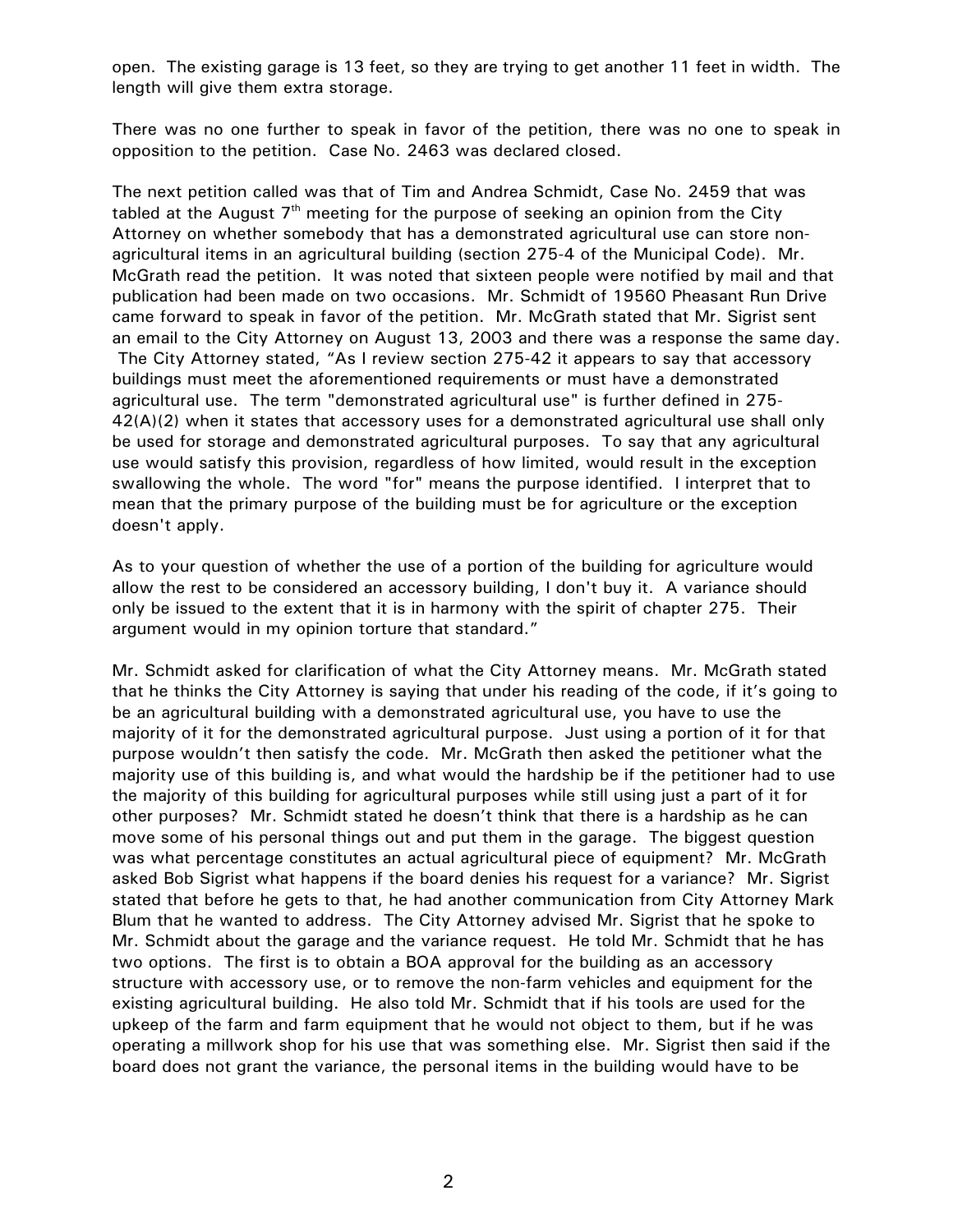open. The existing garage is 13 feet, so they are trying to get another 11 feet in width. The length will give them extra storage.

There was no one further to speak in favor of the petition, there was no one to speak in opposition to the petition. Case No. 2463 was declared closed.

The next petition called was that of Tim and Andrea Schmidt, Case No. 2459 that was tabled at the August  $7<sup>th</sup>$  meeting for the purpose of seeking an opinion from the City Attorney on whether somebody that has a demonstrated agricultural use can store nonagricultural items in an agricultural building (section 275-4 of the Municipal Code). Mr. McGrath read the petition. It was noted that sixteen people were notified by mail and that publication had been made on two occasions. Mr. Schmidt of 19560 Pheasant Run Drive came forward to speak in favor of the petition. Mr. McGrath stated that Mr. Sigrist sent an email to the City Attorney on August 13, 2003 and there was a response the same day. The City Attorney stated, "As I review section 275-42 it appears to say that accessory buildings must meet the aforementioned requirements or must have a demonstrated agricultural use. The term "demonstrated agricultural use" is further defined in 275- 42(A)(2) when it states that accessory uses for a demonstrated agricultural use shall only be used for storage and demonstrated agricultural purposes. To say that any agricultural use would satisfy this provision, regardless of how limited, would result in the exception swallowing the whole. The word "for" means the purpose identified. I interpret that to mean that the primary purpose of the building must be for agriculture or the exception doesn't apply.

As to your question of whether the use of a portion of the building for agriculture would allow the rest to be considered an accessory building, I don't buy it. A variance should only be issued to the extent that it is in harmony with the spirit of chapter 275. Their argument would in my opinion torture that standard."

Mr. Schmidt asked for clarification of what the City Attorney means. Mr. McGrath stated that he thinks the City Attorney is saying that under his reading of the code, if it's going to be an agricultural building with a demonstrated agricultural use, you have to use the majority of it for the demonstrated agricultural purpose. Just using a portion of it for that purpose wouldn't then satisfy the code. Mr. McGrath then asked the petitioner what the majority use of this building is, and what would the hardship be if the petitioner had to use the majority of this building for agricultural purposes while still using just a part of it for other purposes? Mr. Schmidt stated he doesn't think that there is a hardship as he can move some of his personal things out and put them in the garage. The biggest question was what percentage constitutes an actual agricultural piece of equipment? Mr. McGrath asked Bob Sigrist what happens if the board denies his request for a variance? Mr. Sigrist stated that before he gets to that, he had another communication from City Attorney Mark Blum that he wanted to address. The City Attorney advised Mr. Sigrist that he spoke to Mr. Schmidt about the garage and the variance request. He told Mr. Schmidt that he has two options. The first is to obtain a BOA approval for the building as an accessory structure with accessory use, or to remove the non-farm vehicles and equipment for the existing agricultural building. He also told Mr. Schmidt that if his tools are used for the upkeep of the farm and farm equipment that he would not object to them, but if he was operating a millwork shop for his use that was something else. Mr. Sigrist then said if the board does not grant the variance, the personal items in the building would have to be